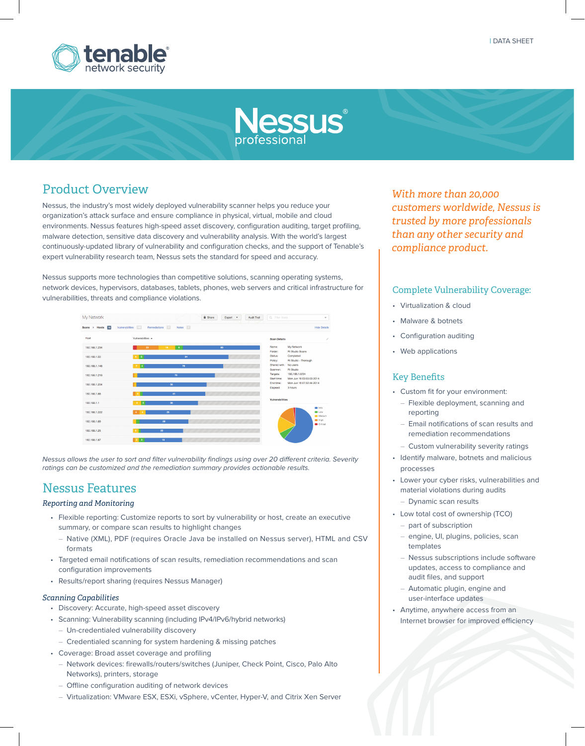

# **Nessus**

## Product Overview

Nessus, the industry's most widely deployed vulnerability scanner helps you reduce your organization's attack surface and ensure compliance in physical, virtual, mobile and cloud environments. Nessus features high-speed asset discovery, configuration auditing, target profiling, malware detection, sensitive data discovery and vulnerability analysis. With the world's largest continuously-updated library of vulnerability and configuration checks, and the support of Tenable's expert vulnerability research team, Nessus sets the standard for speed and accuracy.

Nessus supports more technologies than competitive solutions, scanning operating systems, network devices, hypervisors, databases, tablets, phones, web servers and critical infrastructure for vulnerabilities, threats and compliance violations.

| My Network       |                                           |                | <b>B</b> Share | Export - | Audit Trail | Q Filter Hosts           | $\;$                                       |
|------------------|-------------------------------------------|----------------|----------------|----------|-------------|--------------------------|--------------------------------------------|
| Scans > Hosts 15 | Remediations 11<br>165<br>Vulnerabilities | Notes <b>R</b> |                |          |             |                          | <b>Hide Details</b>                        |
| Host             | Vulnerabilities A                         |                |                |          |             | <b>Scan Details</b>      |                                            |
| 192.168.1.234    | 23<br>18                                  | $\bullet$      |                | 83       |             | Name:<br>Folder:         | My Network<br><b>RI Studio Scans</b>       |
| 192, 168, 1.50   | $\vert$ 5<br>$-6$                         | 84             |                |          |             | Status:<br>Policy:       | Completed<br>RI Studio - Thorough          |
| 192.168.1.148    | 14.<br>$\overline{7}$                     | 76             |                |          |             | Shared with:<br>Scanner: | No users<br><b>RI Studio</b>               |
| 192.168.1.218    |                                           | 70             |                |          |             | Targets:<br>Start time:  | 192.168.1.0/24<br>Mon Jun 16 03:55:03 2014 |
| 192.168.1.204    |                                           | 58             |                |          |             | End time:<br>Elapsed:    | Mon Jun 16 07:02:44 2014<br>3 hours        |
| 192.168.1.88     |                                           | 51             |                |          |             |                          |                                            |
| 192.168.1.1      | l s<br>$-6$                               | 38             |                |          |             | Vulnerabilities          | nfo.                                       |
| 192.168.1.222    | $\overline{A}$                            | 28             |                |          |             |                          | <b>B</b> Low<br>Medium                     |
| 192.168.1.89     | 29                                        |                |                |          |             |                          | $H$ gh<br>Critical                         |
| 192.168.1.25     | 22 <sup>°</sup>                           |                |                |          |             |                          |                                            |
| 192.168.1.87     | 19<br>$\mathbf{R}$<br>$\mathbf{3}$        |                |                |          |             |                          |                                            |

Nessus allows the user to sort and filter vulnerability findings using over 20 different criteria. Severity ratings can be customized and the remediation summary provides actionable results.

# Nessus Features

### *Reporting and Monitoring*

- Flexible reporting: Customize reports to sort by vulnerability or host, create an executive summary, or compare scan results to highlight changes
	- Native (XML), PDF (requires Oracle Java be installed on Nessus server), HTML and CSV formats
- Targeted email notifications of scan results, remediation recommendations and scan configuration improvements
- Results/report sharing (requires Nessus Manager)

### *Scanning Capabilities*

- Discovery: Accurate, high-speed asset discovery
- Scanning: Vulnerability scanning (including IPv4/IPv6/hybrid networks)
	- Un-credentialed vulnerability discovery
	- Credentialed scanning for system hardening & missing patches
- Coverage: Broad asset coverage and profiling
	- Network devices: firewalls/routers/switches (Juniper, Check Point, Cisco, Palo Alto Networks), printers, storage
	- Offline configuration auditing of network devices
	- Virtualization: VMware ESX, ESXi, vSphere, vCenter, Hyper-V, and Citrix Xen Server

*With more than 20,000 customers worldwide, Nessus is trusted by more professionals than any other security and compliance product.*

## Complete Vulnerability Coverage:

- Virtualization & cloud
- Malware & botnets
- Configuration auditing
- Web applications

## Key Benefits

- Custom fit for your environment:
	- Flexible deployment, scanning and reporting
	- Email notifications of scan results and remediation recommendations
	- Custom vulnerability severity ratings
- Identify malware, botnets and malicious processes
- Lower your cyber risks, vulnerabilities and material violations during audits
	- Dynamic scan results
- Low total cost of ownership (TCO) – part of subscription
	- engine, UI, plugins, policies, scan templates
	- Nessus subscriptions include software updates, access to compliance and audit files, and support
	- Automatic plugin, engine and user-interface updates
- Anytime, anywhere access from an Internet browser for improved efficiency